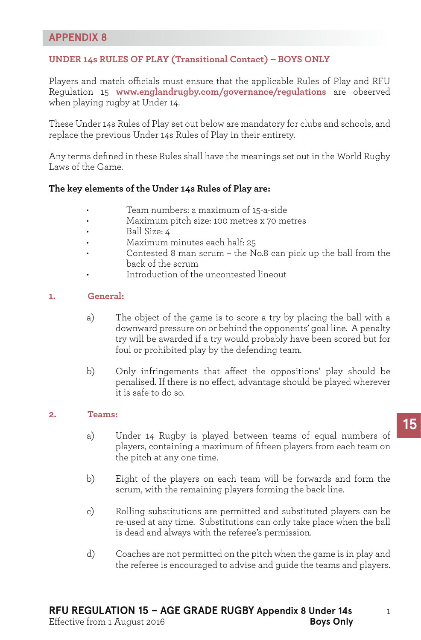# **APPENDIX 8**

# **UNDER 14s RULES OF PLAY (Transitional Contact) – BOYS ONLY**

Players and match officials must ensure that the applicable Rules of Play and RFU Regulation 15 **www.englandrugby.com/governance/regulations** are observed when playing rugby at Under 14.

These Under 14s Rules of Play set out below are mandatory for clubs and schools, and replace the previous Under 14s Rules of Play in their entirety.

Any terms defined in these Rules shall have the meanings set out in the World Rugby Laws of the Game.

#### **The key elements of the Under 14s Rules of Play are:**

- Team numbers: a maximum of 15-a-side
- Maximum pitch size: 100 metres x 70 metres
- Ball Size: 4
- Maximum minutes each half: 25
- Contested 8 man scrum the No.8 can pick up the ball from the back of the scrum
- Introduction of the uncontested lineout

#### **1. General:**

- a) The object of the game is to score a try by placing the ball with a downward pressure on or behind the opponents' goal line. A penalty try will be awarded if a try would probably have been scored but for foul or prohibited play by the defending team.
- b) Only infringements that affect the oppositions' play should be penalised. If there is no effect, advantage should be played wherever it is safe to do so.

#### **2. Teams:**

- a) Under 14 Rugby is played between teams of equal numbers of players, containing a maximum of fifteen players from each team on the pitch at any one time.
- b) Eight of the players on each team will be forwards and form the scrum, with the remaining players forming the back line.
- c) Rolling substitutions are permitted and substituted players can be re-used at any time. Substitutions can only take place when the ball is dead and always with the referee's permission.
- d) Coaches are not permitted on the pitch when the game is in play and the referee is encouraged to advise and guide the teams and players.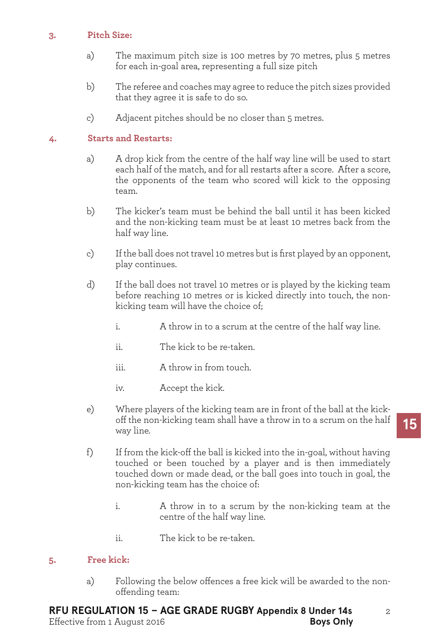## **3. Pitch Size:**

- a) The maximum pitch size is 100 metres by 70 metres, plus 5 metres for each in-goal area, representing a full size pitch
- b) The referee and coaches may agree to reduce the pitch sizes provided that they agree it is safe to do so.
- c) Adjacent pitches should be no closer than 5 metres.

# **4. Starts and Restarts:**

- a) A drop kick from the centre of the half way line will be used to start each half of the match, and for all restarts after a score. After a score, the opponents of the team who scored will kick to the opposing team.
- b) The kicker's team must be behind the ball until it has been kicked and the non-kicking team must be at least 10 metres back from the half way line.
- c) If the ball does not travel 10 metres but is first played by an opponent, play continues.
- d) If the ball does not travel 10 metres or is played by the kicking team before reaching 10 metres or is kicked directly into touch, the nonkicking team will have the choice of;
	- i. A throw in to a scrum at the centre of the half way line.
	- ii. The kick to be re-taken.
	- iii. A throw in from touch.
	- iv. Accept the kick.
- e) Where players of the kicking team are in front of the ball at the kickoff the non-kicking team shall have a throw in to a scrum on the half way line.
- f) If from the kick-off the ball is kicked into the in-goal, without having touched or been touched by a player and is then immediately touched down or made dead, or the ball goes into touch in goal, the non-kicking team has the choice of:
	- i. A throw in to a scrum by the non-kicking team at the centre of the half way line.
	- ii. The kick to be re-taken.

# **5. Free kick:**

a) Following the below offences a free kick will be awarded to the nonoffending team: 

#### **RFU REGULATION 15 – AGE GRADE RUGBY Appendix 8 Under 14s** Effective from 1 August 2016 **Boys Only**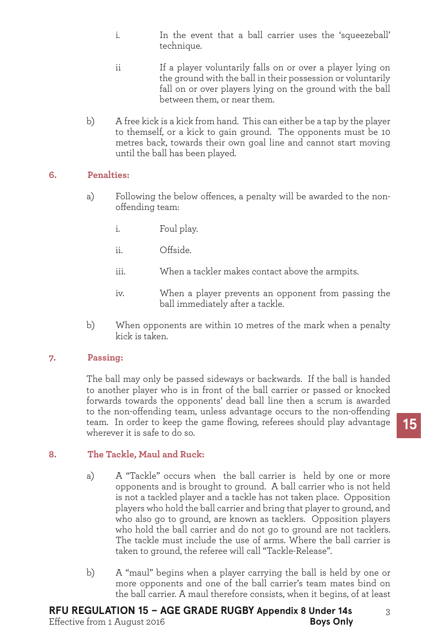- i. In the event that a ball carrier uses the 'squeezeball' technique.
- ii If a player voluntarily falls on or over a player lying on the ground with the ball in their possession or voluntarily fall on or over players lying on the ground with the ball between them, or near them.
- b) A free kick is a kick from hand. This can either be a tap by the player to themself, or a kick to gain ground. The opponents must be 10 metres back, towards their own goal line and cannot start moving until the ball has been played.

## **6. Penalties:**

- a) Following the below offences, a penalty will be awarded to the nonoffending team:
	- i. Foul play.
	- ii. Offside.
	- iii. When a tackler makes contact above the armpits.
	- iv. When a player prevents an opponent from passing the ball immediately after a tackle.
- b) When opponents are within 10 metres of the mark when a penalty kick is taken.

## **7. Passing:**

 The ball may only be passed sideways or backwards. If the ball is handed to another player who is in front of the ball carrier or passed or knocked forwards towards the opponents' dead ball line then a scrum is awarded to the non-offending team, unless advantage occurs to the non-offending team. In order to keep the game flowing, referees should play advantage wherever it is safe to do so.

## **8. The Tackle, Maul and Ruck:**

- a) A "Tackle" occurs when the ball carrier is held by one or more opponents and is brought to ground. A ball carrier who is not held is not a tackled player and a tackle has not taken place. Opposition players who hold the ball carrier and bring that player to ground, and who also go to ground, are known as tacklers. Opposition players who hold the ball carrier and do not go to ground are not tacklers. The tackle must include the use of arms. Where the ball carrier is taken to ground, the referee will call "Tackle-Release".
- b) A "maul" begins when a player carrying the ball is held by one or more opponents and one of the ball carrier's team mates bind on the ball carrier. A maul therefore consists, when it begins, of at least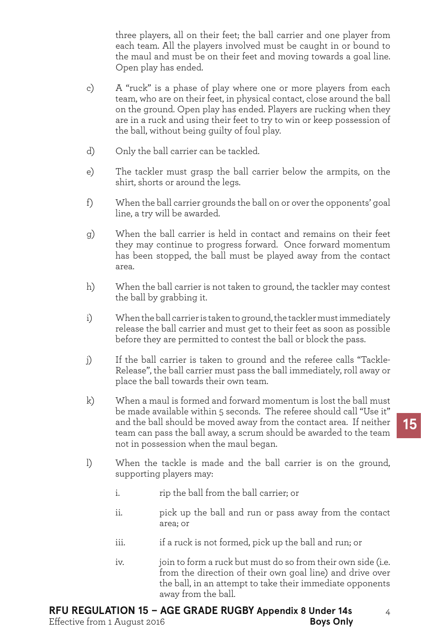three players, all on their feet; the ball carrier and one player from each team. All the players involved must be caught in or bound to the maul and must be on their feet and moving towards a goal line. Open play has ended.

- c) A "ruck" is a phase of play where one or more players from each team, who are on their feet, in physical contact, close around the ball on the ground. Open play has ended. Players are rucking when they are in a ruck and using their feet to try to win or keep possession of the ball, without being guilty of foul play.
- d) Only the ball carrier can be tackled.
- e) The tackler must grasp the ball carrier below the armpits, on the shirt, shorts or around the legs.
- f) When the ball carrier grounds the ball on or over the opponents' goal line, a try will be awarded.
- g) When the ball carrier is held in contact and remains on their feet they may continue to progress forward. Once forward momentum has been stopped, the ball must be played away from the contact area.
- h) When the ball carrier is not taken to ground, the tackler may contest the ball by grabbing it.
- i) When the ball carrier is taken to ground, the tackler must immediately release the ball carrier and must get to their feet as soon as possible before they are permitted to contest the ball or block the pass.
- j) If the ball carrier is taken to ground and the referee calls "Tackle-Release", the ball carrier must pass the ball immediately, roll away or place the ball towards their own team.
- $k$ ) When a maul is formed and forward momentum is lost the ball must be made available within 5 seconds. The referee should call "Use it" and the ball should be moved away from the contact area. If neither team can pass the ball away, a scrum should be awarded to the team not in possession when the maul began.
- l) When the tackle is made and the ball carrier is on the ground, supporting players may:
	- i. rip the ball from the ball carrier; or
	- ii. bick up the ball and run or pass away from the contact area; or
	- iii. iii. if a ruck is not formed, pick up the ball and run; or
	- iv. join to form a ruck but must do so from their own side (i.e. from the direction of their own goal line) and drive over the ball, in an attempt to take their immediate opponents away from the ball.

# **RFU REGULATION 15 – AGE GRADE RUGBY Appendix 8 Under 14s**

Effective from 1 August 2016 **Boys Only**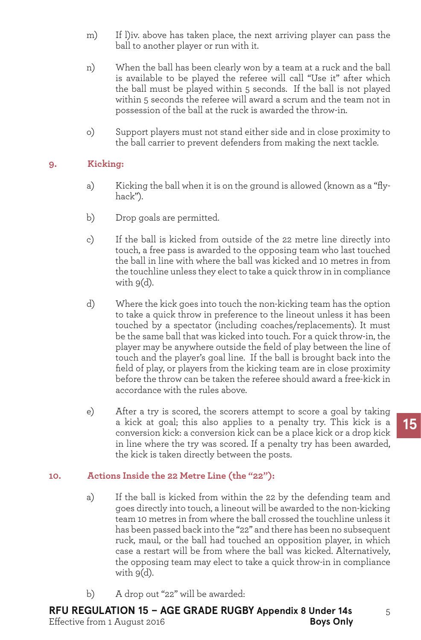- m) If l)iv. above has taken place, the next arriving player can pass the ball to another player or run with it.
- n) When the ball has been clearly won by a team at a ruck and the ball is available to be played the referee will call "Use it" after which the ball must be played within 5 seconds. If the ball is not played within 5 seconds the referee will award a scrum and the team not in possession of the ball at the ruck is awarded the throw-in.
- o) Support players must not stand either side and in close proximity to the ball carrier to prevent defenders from making the next tackle.

## **9. Kicking:**

- a) Kicking the ball when it is on the ground is allowed (known as a "flyhack").
- b) Drop goals are permitted.
- c) If the ball is kicked from outside of the 22 metre line directly into touch, a free pass is awarded to the opposing team who last touched the ball in line with where the ball was kicked and 10 metres in from the touchline unless they elect to take a quick throw in in compliance with  $9(d)$ .
- d) Where the kick goes into touch the non-kicking team has the option to take a quick throw in preference to the lineout unless it has been touched by a spectator (including coaches/replacements). It must be the same ball that was kicked into touch. For a quick throw-in, the player may be anywhere outside the field of play between the line of touch and the player's goal line. If the ball is brought back into the field of play, or players from the kicking team are in close proximity before the throw can be taken the referee should award a free-kick in accordance with the rules above.
- e) After a try is scored, the scorers attempt to score a goal by taking a kick at goal; this also applies to a penalty try. This kick is a conversion kick: a conversion kick can be a place kick or a drop kick in line where the try was scored. If a penalty try has been awarded, the kick is taken directly between the posts.

# **10. Actions Inside the 22 Metre Line (the "22"):**

- a) If the ball is kicked from within the 22 by the defending team and goes directly into touch, a lineout will be awarded to the non-kicking team 10 metres in from where the ball crossed the touchline unless it has been passed back into the "22" and there has been no subsequent ruck, maul, or the ball had touched an opposition player, in which case a restart will be from where the ball was kicked. Alternatively, the opposing team may elect to take a quick throw-in in compliance with 9(d).
- b) A drop out "22" will be awarded: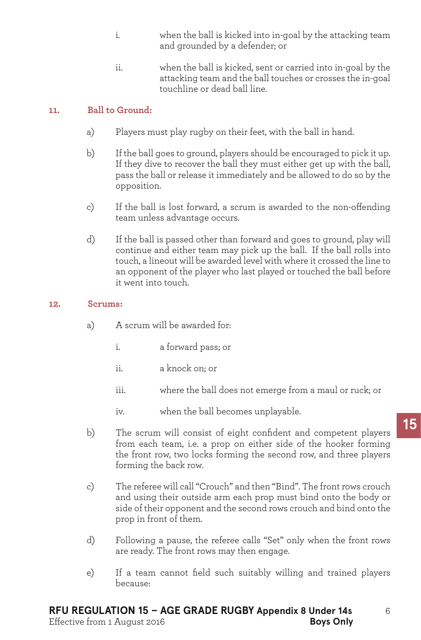- i. when the ball is kicked into in-goal by the attacking team and grounded by a defender; or
- ii. when the ball is kicked, sent or carried into in-goal by the attacking team and the ball touches or crosses the in-goal touchline or dead ball line.

## **11. Ball to Ground:**

- a) Players must play rugby on their feet, with the ball in hand.
- b) If the ball goes to ground, players should be encouraged to pick it up. If they dive to recover the ball they must either get up with the ball, pass the ball or release it immediately and be allowed to do so by the opposition.
- c) If the ball is lost forward, a scrum is awarded to the non-offending team unless advantage occurs.
- d) If the ball is passed other than forward and goes to ground, play will continue and either team may pick up the ball. If the ball rolls into touch, a lineout will be awarded level with where it crossed the line to an opponent of the player who last played or touched the ball before it went into touch.

## **12. Scrums:**

- a) A scrum will be awarded for:
	- i. a forward pass; or
	- ii. a knock on; or
	- iii. where the ball does not emerge from a maul or ruck; or
	- iv. when the ball becomes unplayable.
- b) The scrum will consist of eight confident and competent players from each team, i.e. a prop on either side of the hooker forming the front row, two locks forming the second row, and three players forming the back row.
- c) The referee will call "Crouch" and then "Bind". The front rows crouch and using their outside arm each prop must bind onto the body or side of their opponent and the second rows crouch and bind onto the prop in front of them.
- d) Following a pause, the referee calls "Set" only when the front rows are ready. The front rows may then engage.
- e) If a team cannot field such suitably willing and trained players because: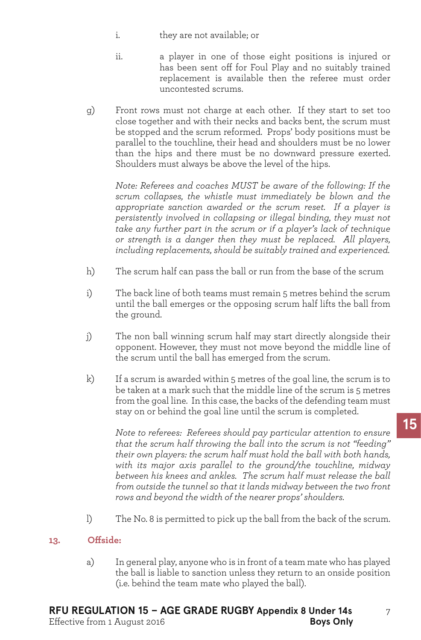- i. they are not available; or
- ii. a player in one of those eight positions is injured or has been sent off for Foul Play and no suitably trained replacement is available then the referee must order uncontested scrums.
- g) Front rows must not charge at each other. If they start to set too close together and with their necks and backs bent, the scrum must be stopped and the scrum reformed. Props' body positions must be parallel to the touchline, their head and shoulders must be no lower than the hips and there must be no downward pressure exerted. Shoulders must always be above the level of the hips.

*Note: Referees and coaches MUST be aware of the following: If the scrum collapses, the whistle must immediately be blown and the appropriate sanction awarded or the scrum reset. If a player is persistently involved in collapsing or illegal binding, they must not take any further part in the scrum or if a player's lack of technique or strength is a danger then they must be replaced. All players, including replacements, should be suitably trained and experienced.*

- h) The scrum half can pass the ball or run from the base of the scrum
- i) The back line of both teams must remain 5 metres behind the scrum until the ball emerges or the opposing scrum half lifts the ball from the ground.
- j) The non ball winning scrum half may start directly alongside their opponent. However, they must not move beyond the middle line of the scrum until the ball has emerged from the scrum.
- $\mathbf{k}$ ) If a scrum is awarded within 5 metres of the goal line, the scrum is to be taken at a mark such that the middle line of the scrum is 5 metres from the goal line. In this case, the backs of the defending team must stay on or behind the goal line until the scrum is completed.

*Note to referees: Referees should pay particular attention to ensure that the scrum half throwing the ball into the scrum is not "feeding" their own players: the scrum half must hold the ball with both hands, with its major axis parallel to the ground/the touchline, midway between his knees and ankles. The scrum half must release the ball from outside the tunnel so that it lands midway between the two front rows and beyond the width of the nearer props' shoulders.*

l) The No. 8 is permitted to pick up the ball from the back of the scrum.

## **13. Offside:**

a) In general play, anyone who is in front of a team mate who has played the ball is liable to sanction unless they return to an onside position (i.e. behind the team mate who played the ball).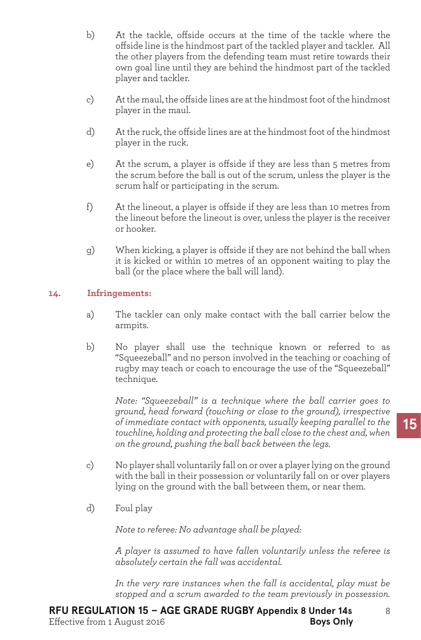- b) At the tackle, offside occurs at the time of the tackle where the offside line is the hindmost part of the tackled player and tackler. All the other players from the defending team must retire towards their own goal line until they are behind the hindmost part of the tackled player and tackler.
- c) At the maul, the offside lines are at the hindmost foot of the hindmost player in the maul.
- d) At the ruck, the offside lines are at the hindmost foot of the hindmost player in the ruck.
- e) At the scrum, a player is offside if they are less than 5 metres from the scrum before the ball is out of the scrum, unless the player is the scrum half or participating in the scrum.
- f) At the lineout, a player is offside if they are less than 10 metres from the lineout before the lineout is over, unless the player is the receiver or hooker.
- g) When kicking, a player is offside if they are not behind the ball when it is kicked or within 10 metres of an opponent waiting to play the ball (or the place where the ball will land).

## **14. Infringements:**

- a) The tackler can only make contact with the ball carrier below the armpits.
- b) No player shall use the technique known or referred to as "Squeezeball" and no person involved in the teaching or coaching of rugby may teach or coach to encourage the use of the "Squeezeball" technique.

*Note: "Squeezeball" is a technique where the ball carrier goes to ground, head forward (touching or close to the ground), irrespective of immediate contact with opponents, usually keeping parallel to the touchline, holding and protecting the ball close to the chest and, when on the ground, pushing the ball back between the legs.*

- c) No player shall voluntarily fall on or over a playerlying on the ground with the ball in their possession or voluntarily fall on or over players lying on the ground with the ball between them, or near them.
- d) Foul play

*Note to referee: No advantage shall be played:*

*A player is assumed to have fallen voluntarily unless the referee is absolutely certain the fall was accidental.*

*In the very rare instances when the fall is accidental, play must be stopped and a scrum awarded to the team previously in possession.*